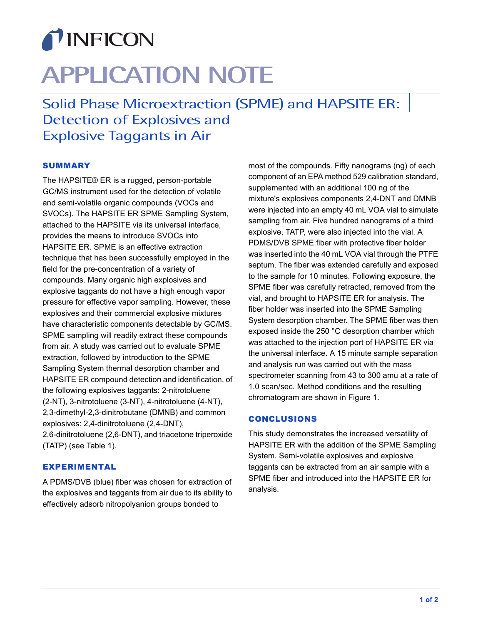## TINFICON

# **APPLICATION NOTE**

Solid Phase Microextraction (SPME) and HAPSITE ER: Detection of Explosives and Explosive Taggants in Air

### **SUMMARY**

The HAPSITE® ER is a rugged, person-portable GC/MS instrument used for the detection of volatile and semi-volatile organic compounds (VOCs and SVOCs). The HAPSITE ER SPME Sampling System, attached to the HAPSITE via its universal interface, provides the means to introduce SVOCs into HAPSITE ER. SPME is an effective extraction technique that has been successfully employed in the field for the pre-concentration of a variety of compounds. Many organic high explosives and explosive taggants do not have a high enough vapor pressure for effective vapor sampling. However, these explosives and their commercial explosive mixtures have characteristic components detectable by GC/MS. SPME sampling will readily extract these compounds from air. A study was carried out to evaluate SPME extraction, followed by introduction to the SPME Sampling System thermal desorption chamber and HAPSITE ER compound detection and identification, of the following explosives taggants: 2-nitrotoluene (2-NT), 3-nitrotoluene (3-NT), 4-nitrotoluene (4-NT), 2,3-dimethyl-2,3-dinitrobutane (DMNB) and common explosives: 2,4-dinitrotoluene (2,4-DNT),

2,6-dinitrotoluene (2,6-DNT), and triacetone triperoxide (TATP) (see Table 1).

### EXPERIMENTAL

A PDMS/DVB (blue) fiber was chosen for extraction of the explosives and taggants from air due to its ability to effectively adsorb nitropolyanion groups bonded to

most of the compounds. Fifty nanograms (ng) of each component of an EPA method 529 calibration standard, supplemented with an additional 100 ng of the mixture's explosives components 2,4-DNT and DMNB were injected into an empty 40 mL VOA vial to simulate sampling from air. Five hundred nanograms of a third explosive, TATP, were also injected into the vial. A PDMS/DVB SPME fiber with protective fiber holder was inserted into the 40 mL VOA vial through the PTFE septum. The fiber was extended carefully and exposed to the sample for 10 minutes. Following exposure, the SPME fiber was carefully retracted, removed from the vial, and brought to HAPSITE ER for analysis. The fiber holder was inserted into the SPME Sampling System desorption chamber. The SPME fiber was then exposed inside the 250 °C desorption chamber which was attached to the injection port of HAPSITE ER via the universal interface. A 15 minute sample separation and analysis run was carried out with the mass spectrometer scanning from 43 to 300 amu at a rate of 1.0 scan/sec. Method conditions and the resulting chromatogram are shown in Figure 1.

### **CONCLUSIONS**

This study demonstrates the increased versatility of HAPSITE ER with the addition of the SPME Sampling System. Semi-volatile explosives and explosive taggants can be extracted from an air sample with a SPME fiber and introduced into the HAPSITE ER for analysis.